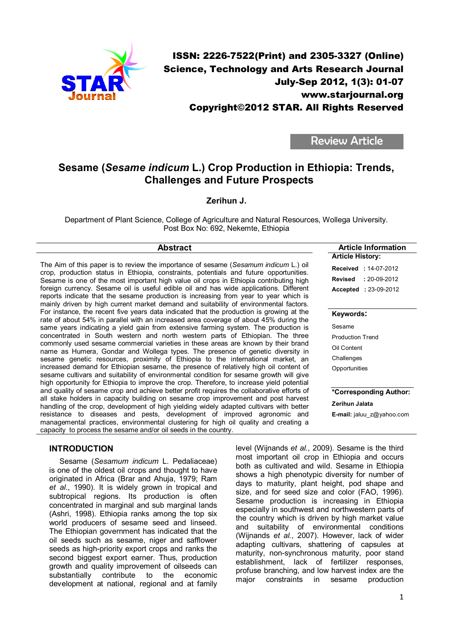

# Review Article

# Sesame (*Sesame indicum* L.) Crop Production in Ethiopia: Trends, Challenges and Future Prospects

## Zerihun J.

Department of Plant Science, College of Agriculture and Natural Resources, Wollega University. Post Box No: 692, Nekemte, Ethiopia

The Aim of this paper is to review the importance of sesame (*Sesamum indicum* L.) oil crop, production status in Ethiopia, constraints, potentials and future opportunities. Sesame is one of the most important high value oil crops in Ethiopia contributing high foreign currency. Sesame oil is useful edible oil and has wide applications. Different reports indicate that the sesame production is increasing from year to year which is mainly driven by high current market demand and suitability of environmental factors. For instance, the recent five years data indicated that the production is growing at the rate of about 54% in parallel with an increased area coverage of about 45% during the same years indicating a yield gain from extensive farming system. The production is concentrated in South western and north western parts of Ethiopian. The three commonly used sesame commercial varieties in these areas are known by their brand name as Humera, Gondar and Wollega types. The presence of genetic diversity in sesame genetic resources, proximity of Ethiopia to the international market, an increased demand for Ethiopian sesame, the presence of relatively high oil content of sesame cultivars and suitability of environmental condition for sesame growth will give high opportunity for Ethiopia to improve the crop. Therefore, to increase yield potential and quality of sesame crop and achieve better profit requires the collaborative efforts of all stake holders in capacity building on sesame crop improvement and post harvest handling of the crop, development of high yielding widely adapted cultivars with better resistance to diseases and pests, development of impro managemental practices, environmental clustering for high oil of capacity to process the sesame and/or oil seeds in the country.

### INTRODUCTION

Sesame (*Sesamum indicum* L. Pedaliaceae) is one of the oldest oil crops and thought to have originated in Africa (Brar and Ahuja, 1979; Ram *et al*., 1990). It is widely grown in tropical and subtropical regions. Its production is often concentrated in marginal and sub marginal lands (Ashri, 1998). Ethiopia ranks among the top six world producers of sesame seed and linseed. The Ethiopian government has indicated that the oil seeds such as sesame, niger and safflower seeds as high-priority export crops and ranks the second biggest export earner. Thus, production growth and quality improvement of oilseeds can substantially contribute to the economic development at national, regional and at family

| roved agronomic and<br>E-mail: jaluu z@yahoo.cor<br>quality and creating a                                                                                                                                                                                                                                                                                                                                                                                                                                           |  |
|----------------------------------------------------------------------------------------------------------------------------------------------------------------------------------------------------------------------------------------------------------------------------------------------------------------------------------------------------------------------------------------------------------------------------------------------------------------------------------------------------------------------|--|
| level (Wijnands et al., 2009). Sesame is the third<br>most important oil crop in Ethiopia and occurs<br>both as cultivated and wild. Sesame in Ethiopia<br>shows a high phenotypic diversity for number of<br>days to maturity, plant height, pod shape and<br>size, and for seed size and color (FAO, 1996).<br>Sesame production is increasing in Ethiopia<br>especially in southwest and northwestern parts of<br>the country which is driven by high market value<br>and suitability of environmental conditions |  |
| $\text{Minomdo}$ of al $\Omega$ 007) Houguar look of wider                                                                                                                                                                                                                                                                                                                                                                                                                                                           |  |

(Wijnands *et al.*, 2007). However, lack of wider adapting cultivars, shattering of capsules at maturity, non-synchronous maturity, poor stand establishment, lack of fertilizer responses, profuse branching, and low harvest index are the major constraints in sesame production

### Abstract Abstract Article Information Article History:

Received : 14-07-2012 Revised : 20-09-2012 Accepted : 23-09-2012

### Keywords:

Sesame Production Trend Oil Content **Challenges Opportunities** 

Zerihun Jalata

# \*Corresponding Author:

E-mail: jaluu\_z@yahoo.com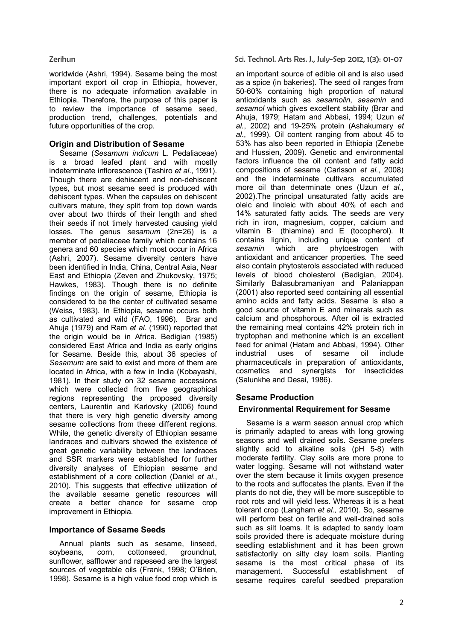worldwide (Ashri, 1994). Sesame being the most important export oil crop in Ethiopia, however, there is no adequate information available in Ethiopia. Therefore, the purpose of this paper is to review the importance of sesame seed, production trend, challenges, potentials and future opportunities of the crop.

# Origin and Distribution of Sesame

Sesame (*Sesamum indicum* L. Pedaliaceae) is a broad leafed plant and with mostly indeterminate inflorescence (Tashiro *et al*., 1991). Though there are dehiscent and non-dehiscent types, but most sesame seed is produced with dehiscent types. When the capsules on dehiscent cultivars mature, they split from top down wards over about two thirds of their length and shed their seeds if not timely harvested causing yield losses. The genus *sesamum* (2n=26) is a member of pedaliaceae family which contains 16 genera and 60 species which most occur in Africa (Ashri, 2007). Sesame diversity centers have been identified in India, China, Central Asia, Near East and Ethiopia (Zeven and Zhukovsky, 1975; Hawkes, 1983). Though there is no definite findings on the origin of sesame, Ethiopia is considered to be the center of cultivated sesame (Weiss, 1983). In Ethiopia, sesame occurs both as cultivated and wild (FAO, 1996). Brar and Ahuja (1979) and Ram *et al*. (1990) reported that the origin would be in Africa. Bedigian (1985) considered East Africa and India as early origins for Sesame. Beside this, about 36 species of *Sesamum* are said to exist and more of them are located in Africa, with a few in India (Kobayashi, 1981). In their study on 32 sesame accessions which were collected from five geographical regions representing the proposed diversity centers, Laurentin and Karlovsky (2006) found that there is very high genetic diversity among sesame collections from these different regions. While, the genetic diversity of Ethiopian sesame landraces and cultivars showed the existence of great genetic variability between the landraces and SSR markers were established for further diversity analyses of Ethiopian sesame and establishment of a core collection (Daniel *et al*., 2010). This suggests that effective utilization of the available sesame genetic resources will create a better chance for sesame crop improvement in Ethiopia.

# Importance of Sesame Seeds

Annual plants such as sesame, linseed, soybeans, corn, cottonseed, groundnut, sunflower, safflower and rapeseed are the largest sources of vegetable oils (Frank, 1998; O'Brien, 1998). Sesame is a high value food crop which is

### Zerihun Sci. Technol. Arts Res. J., July-Sep 2012, 1(3): 01-07

an important source of edible oil and is also used as a spice (in bakeries). The seed oil ranges from 50-60% containing high proportion of natural antioxidants such as *sesamolin*, *sesamin* and *sesamol* which gives excellent stability (Brar and Ahuja, 1979; Hatam and Abbasi, 1994; Uzun *et al.*, 2002) and 19-25% protein (Ashakumary *et al*., 1999). Oil content ranging from about 45 to 53% has also been reported in Ethiopia (Zenebe and Hussien, 2009). Genetic and environmental factors influence the oil content and fatty acid compositions of sesame (Carlsson *et al.*, 2008) and the indeterminate cultivars accumulated more oil than determinate ones (Uzun *et al.*, 2002).The principal unsaturated fatty acids are oleic and linoleic with about 40% of each and 14% saturated fatty acids. The seeds are very rich in iron, magnesium, copper, calcium and vitamin  $B_1$  (thiamine) and  $E$  (tocopherol). It contains lignin, including unique content of *sesamin* which are phytoestrogen with antioxidant and anticancer properties. The seed also contain phytosterols associated with reduced levels of blood cholesterol (Bedigian, 2004). Similarly Balasubramaniyan and Palaniappan (2001) also reported seed containing all essential amino acids and fatty acids. Sesame is also a good source of vitamin E and minerals such as calcium and phosphorous. After oil is extracted the remaining meal contains 42% protein rich in tryptophan and methonine which is an excellent feed for animal (Hatam and Abbasi, 1994). Other industrial uses of sesame oil include pharmaceuticals in preparation of antioxidants, cosmetics and synergists for insecticides (Salunkhe and Desai, 1986).

# Sesame Production Environmental Requirement for Sesame

Sesame is a warm season annual crop which is primarily adapted to areas with long growing seasons and well drained soils. Sesame prefers slightly acid to alkaline soils (pH 5-8) with moderate fertility. Clay soils are more prone to water logging. Sesame will not withstand water over the stem because it limits oxygen presence to the roots and suffocates the plants. Even if the plants do not die, they will be more susceptible to root rots and will yield less. Whereas it is a heat tolerant crop (Langham *et al.,* 2010). So, sesame will perform best on fertile and well-drained soils such as silt loams. It is adapted to sandy loam soils provided there is adequate moisture during seedling establishment and it has been grown satisfactorily on silty clay loam soils. Planting sesame is the most critical phase of its management. Successful establishment of sesame requires careful seedbed preparation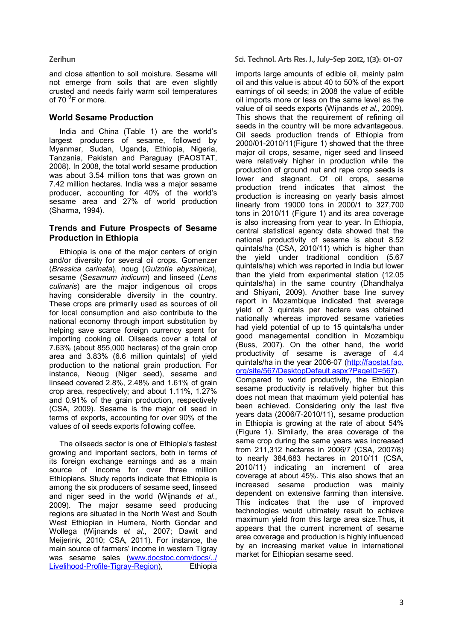and close attention to soil moisture. Sesame will not emerge from soils that are even slightly crusted and needs fairly warm soil temperatures of 70 <sup>o</sup>F or more.

# World Sesame Production

India and China (Table 1) are the world's largest producers of sesame, followed by Myanmar, Sudan, Uganda, Ethiopia, Nigeria, Tanzania, Pakistan and Paraguay (FAOSTAT, 2008). In 2008, the total world sesame production was about 3.54 million tons that was grown on 7.42 million hectares. India was a major sesame producer, accounting for 40% of the world's sesame area and 27% of world production (Sharma, 1994).

### Trends and Future Prospects of Sesame Production in Ethiopia

Ethiopia is one of the major centers of origin and/or diversity for several oil crops. Gomenzer (*Brassica carinata*), noug (*Guizotia abyssinica*), sesame (S*esamum indicum*) and linseed (*Lens culinaris*) are the major indigenous oil crops having considerable diversity in the country. These crops are primarily used as sources of oil for local consumption and also contribute to the national economy through import substitution by helping save scarce foreign currency spent for importing cooking oil. Oilseeds cover a total of 7.63% (about 855,000 hectares) of the grain crop area and 3.83% (6.6 million quintals) of yield production to the national grain production. For instance, Neoug (Niger seed), sesame and linseed covered 2.8%, 2.48% and 1.61% of grain crop area, respectively; and about 1.11%, 1.27% and 0.91% of the grain production, respectively (CSA, 2009). Sesame is the major oil seed in terms of exports, accounting for over 90% of the values of oil seeds exports following coffee.

The oilseeds sector is one of Ethiopia's fastest growing and important sectors, both in terms of its foreign exchange earnings and as a main source of income for over three million Ethiopians. Study reports indicate that Ethiopia is among the six producers of sesame seed, linseed and niger seed in the world (Wijnands *et al*., 2009). The major sesame seed producing regions are situated in the North West and South West Ethiopian in Humera, North Gondar and Wollega (Wijnands *et al*., 2007; Dawit and Meijerink, 2010; CSA, 2011). For instance, the main source of farmers' income in western Tigray was sesame sales (www.docstoc.com/docs/../ Livelihood-Profile-Tigray-Region), Ethiopia

Zerihun Sci. Technol. Arts Res. J., July-Sep 2012, 1(3): 01-07

imports large amounts of edible oil, mainly palm oil and this value is about 40 to 50% of the export earnings of oil seeds; in 2008 the value of edible oil imports more or less on the same level as the value of oil seeds exports (Wijnands *et al*., 2009). This shows that the requirement of refining oil seeds in the country will be more advantageous. Oil seeds production trends of Ethiopia from 2000/01-2010/11(Figure 1) showed that the three major oil crops, sesame, niger seed and linseed were relatively higher in production while the production of ground nut and rape crop seeds is lower and stagnant. Of oil crops, sesame production trend indicates that almost the production is increasing on yearly basis almost linearly from 19000 tons in 2000/1 to 327,700 tons in 2010/11 (Figure 1) and its area coverage is also increasing from year to year. In Ethiopia, central statistical agency data showed that the national productivity of sesame is about 8.52 quintals/ha (CSA, 2010/11) which is higher than the yield under traditional condition (5.67 quintals/ha) which was reported in India but lower than the yield from experimental station (12.05 quintals/ha) in the same country (Dhandhalya and Shiyani, 2009). Another base line survey report in Mozambique indicated that average yield of 3 quintals per hectare was obtained nationally whereas improved sesame varieties had yield potential of up to 15 quintals/ha under good managemental condition in Mozambiqu (Buss, 2007). On the other hand, the world productivity of sesame is average of 4.4 quintals/ha in the year 2006-07 (http://faostat.fao. org/site/567/DesktopDefault.aspx?PageID=567). Compared to world productivity, the Ethiopian sesame productivity is relatively higher but this does not mean that maximum yield potential has been achieved. Considering only the last five years data (2006/7-2010/11), sesame production in Ethiopia is growing at the rate of about 54% (Figure 1). Similarly, the area coverage of the same crop during the same years was increased from 211,312 hectares in 2006/7 (CSA, 2007/8) to nearly 384,683 hectares in 2010/11 (CSA, 2010/11) indicating an increment of area coverage at about 45%. This also shows that an increased sesame production was mainly dependent on extensive farming than intensive. This indicates that the use of improved technologies would ultimately result to achieve maximum yield from this large area size.Thus, it appears that the current increment of sesame area coverage and production is highly influenced by an increasing market value in international market for Ethiopian sesame seed.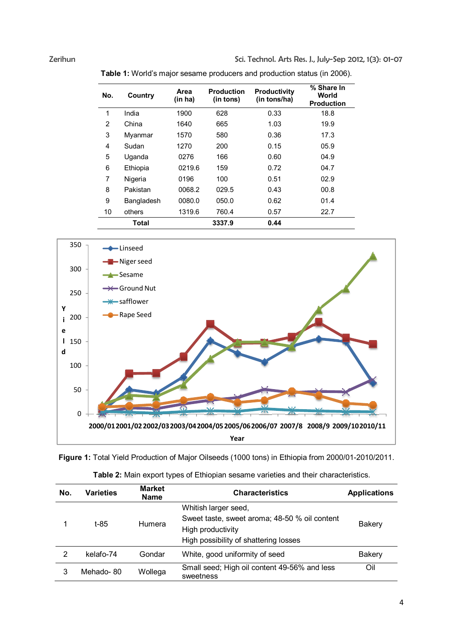Zerihun Sci. Technol. Arts Res. J., July-Sep 2012, 1(3): 01-07

| No. | Country    | Area<br>(in ha) | <b>Production</b><br>(in tons) | <b>Productivity</b><br>(in tons/ha) | % Share In<br>World<br><b>Production</b> |
|-----|------------|-----------------|--------------------------------|-------------------------------------|------------------------------------------|
| 1   | India      | 1900            | 628                            | 0.33                                | 18.8                                     |
| 2   | China      | 1640            | 665                            | 1.03                                | 19.9                                     |
| 3   | Myanmar    | 1570            | 580                            | 0.36                                | 17.3                                     |
| 4   | Sudan      | 1270            | 200                            | 0.15                                | 05.9                                     |
| 5   | Uganda     | 0276            | 166                            | 0.60                                | 04.9                                     |
| 6   | Ethiopia   | 0219.6          | 159                            | 0.72                                | 04.7                                     |
| 7   | Nigeria    | 0196            | 100                            | 0.51                                | 02.9                                     |
| 8   | Pakistan   | 0068.2          | 029.5                          | 0.43                                | 00.8                                     |
| 9   | Bangladesh | 0080.0          | 050.0                          | 0.62                                | 01.4                                     |
| 10  | others     | 1319.6          | 760.4                          | 0.57                                | 22.7                                     |
|     | Total      |                 | 3337.9                         | 0.44                                |                                          |

Table 1: World's major sesame producers and production status (in 2006).



Figure 1: Total Yield Production of Major Oilseeds (1000 tons) in Ethiopia from 2000/01-2010/2011.

| No. | Varieties | <b>Market</b><br><b>Name</b> | <b>Characteristics</b>                                                                                                              | <b>Applications</b> |
|-----|-----------|------------------------------|-------------------------------------------------------------------------------------------------------------------------------------|---------------------|
|     | t-85      | Humera                       | Whitish larger seed,<br>Sweet taste, sweet aroma; 48-50 % oil content<br>High productivity<br>High possibility of shattering losses | Bakery              |
| 2   | kelafo-74 | Gondar                       | White, good uniformity of seed                                                                                                      | Bakery              |
| 3   | Mehado-80 | Wollega                      | Small seed; High oil content 49-56% and less<br>sweetness                                                                           | Oil                 |

|  | Table 2: Main export types of Ethiopian sesame varieties and their characteristics. |
|--|-------------------------------------------------------------------------------------|
|--|-------------------------------------------------------------------------------------|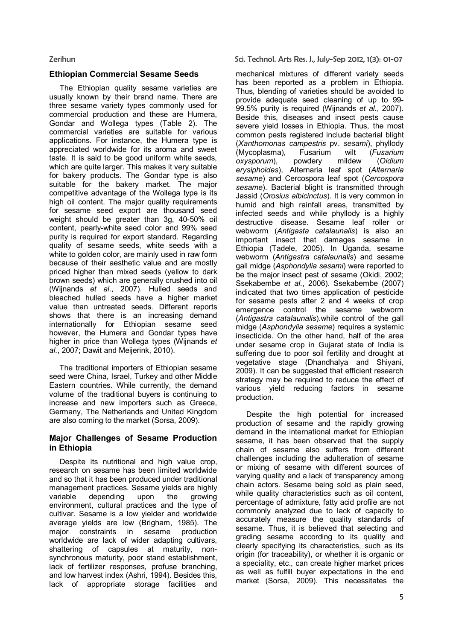## Ethiopian Commercial Sesame Seeds

The Ethiopian quality sesame varieties are usually known by their brand name. There are three sesame variety types commonly used for commercial production and these are Humera, Gondar and Wollega types (Table 2). The commercial varieties are suitable for various applications. For instance, the Humera type is appreciated worldwide for its aroma and sweet taste. It is said to be good uniform white seeds, which are quite larger. This makes it very suitable for bakery products. The Gondar type is also suitable for the bakery market. The major competitive advantage of the Wollega type is its high oil content. The major quality requirements for sesame seed export are thousand seed weight should be greater than 3g, 40-50% oil content, pearly-white seed color and 99% seed purity is required for export standard. Regarding quality of sesame seeds, white seeds with a white to golden color, are mainly used in raw form because of their aesthetic value and are mostly priced higher than mixed seeds (yellow to dark brown seeds) which are generally crushed into oil (Wijnands *et al*., 2007). Hulled seeds and bleached hulled seeds have a higher market value than untreated seeds. Different reports shows that there is an increasing demand internationally for Ethiopian sesame seed however, the Humera and Gondar types have higher in price than Wollega types (Wijnands *et al*., 2007; Dawit and Meijerink, 2010).

The traditional importers of Ethiopian sesame seed were China, Israel, Turkey and other Middle Eastern countries. While currently, the demand volume of the traditional buyers is continuing to increase and new importers such as Greece, Germany, The Netherlands and United Kingdom are also coming to the market (Sorsa, 2009).

## Major Challenges of Sesame Production in Ethiopia

Despite its nutritional and high value crop, research on sesame has been limited worldwide and so that it has been produced under traditional management practices. Sesame yields are highly variable depending upon the growing environment, cultural practices and the type of cultivar. Sesame is a low yielder and worldwide average yields are low (Brigham, 1985). The major constraints in sesame production worldwide are lack of wider adapting cultivars, shattering of capsules at maturity, nonsynchronous maturity, poor stand establishment, lack of fertilizer responses, profuse branching, and low harvest index (Ashri, 1994). Besides this, lack of appropriate storage facilities and

Zerihun Sci. Technol. Arts Res. J., July-Sep 2012, 1(3): 01-07

mechanical mixtures of different variety seeds has been reported as a problem in Ethiopia. Thus, blending of varieties should be avoided to provide adequate seed cleaning of up to 99- 99.5% purity is required (Wijnands *et al*., 2007). Beside this, diseases and insect pests cause severe yield losses in Ethiopia. Thus, the most common pests registered include bacterial blight (*Xanthomonas campestris* pv. *sesami*), phyllody (Mycoplasma), Fusarium wilt (*Kysporum*), powdery mildew *oxysporum*), powdery mildew (*Oidium erysiphoides*), Alternaria leaf spot (*Alternaria sesame*) and Cercospora leaf spot (*Cercospora sesame*). Bacterial blight is transmitted through Jassid (*Orosius albicinctus*). It is very common in humid and high rainfall areas, transmitted by infected seeds and while phyllody is a highly destructive disease. Sesame leaf roller or webworm (*Antigasta catalaunalis*) is also an important insect that damages sesame in Ethiopia (Tadele, 2005). In Uganda, sesame webworm (*Antigastra catalaunalis*) and sesame gall midge (*Asphondylia sesami*) were reported to be the major insect pest of sesame (Okidi, 2002; Ssekabembe *et al*., 2006). Ssekabembe (2007) indicated that two times application of pesticide for sesame pests after 2 and 4 weeks of crop emergence control the sesame webworm (*Antigastra catalaunalis*).while control of the gall midge (*Asphondylia sesame*) requires a systemic insecticide. On the other hand, half of the area under sesame crop in Gujarat state of India is suffering due to poor soil fertility and drought at vegetative stage (Dhandhalya and Shiyani, 2009). It can be suggested that efficient research strategy may be required to reduce the effect of various yield reducing factors in sesame production.

Despite the high potential for increased production of sesame and the rapidly growing demand in the international market for Ethiopian sesame, it has been observed that the supply chain of sesame also suffers from different challenges including the adulteration of sesame or mixing of sesame with different sources of varying quality and a lack of transparency among chain actors. Sesame being sold as plain seed, while quality characteristics such as oil content. percentage of admixture, fatty acid profile are not commonly analyzed due to lack of capacity to accurately measure the quality standards of sesame. Thus, it is believed that selecting and grading sesame according to its quality and clearly specifying its characteristics, such as its origin (for traceability), or whether it is organic or a speciality, etc., can create higher market prices as well as fulfill buyer expectations in the end market (Sorsa, 2009). This necessitates the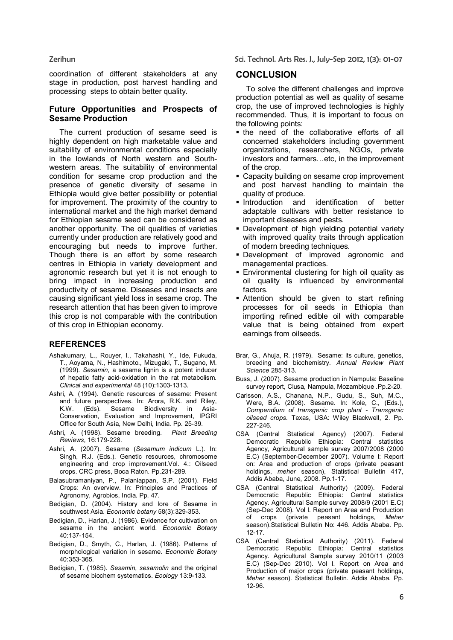coordination of different stakeholders at any stage in production, post harvest handling and processing steps to obtain better quality.

### Future Opportunities and Prospects of Sesame Production

The current production of sesame seed is highly dependent on high marketable value and suitability of environmental conditions especially in the lowlands of North western and Southwestern areas. The suitability of environmental condition for sesame crop production and the presence of genetic diversity of sesame in Ethiopia would give better possibility or potential for improvement. The proximity of the country to international market and the high market demand for Ethiopian sesame seed can be considered as another opportunity. The oil qualities of varieties currently under production are relatively good and encouraging but needs to improve further. Though there is an effort by some research centres in Ethiopia in variety development and agronomic research but yet it is not enough to bring impact in increasing production and productivity of sesame. Diseases and insects are causing significant yield loss in sesame crop. The research attention that has been given to improve this crop is not comparable with the contribution of this crop in Ethiopian economy.

### **REFERENCES**

- Ashakumary, L., Rouyer, I., Takahashi, Y., Ide, Fukuda, T., Aoyama, N., Hashimoto., Mizugaki, T., Sugano, M. (1999). *Sesamin*, a sesame lignin is a potent inducer of hepatic fatty acid-oxidation in the rat metabolism*. Clinical and experimental* 48 (10):1303-1313.
- Ashri, A. (1994). Genetic resources of sesame: Present and future perspectives. In: Arora, R.K. and Riley, K.W. (Eds). Sesame Biodiversity in Asia-Conservation, Evaluation and Improvement, IPGRI Office for South Asia, New Delhi, India. Pp. 25-39.
- Ashri, A. (1998). Sesame breeding. *Plant Breeding Reviews*, 16:179-228.
- Ashri, A. (2007). Sesame (*Sesamum indicum* L.)*.* In: Singh, R.J. (Eds.). Genetic resources, chromosome engineering and crop improvement.Vol. 4.: Oilseed crops. CRC press, Boca Raton. Pp.231-289.
- Balasubramaniyan, P., Palaniappan, S.P. (2001). Field Crops: An overview. In: Principles and Practices of Agronomy, Agrobios, India. Pp. 47.
- Bedigian, D. (2004). History and lore of Sesame in southwest Asia. *Economic botany* 58(3):329-353.
- Bedigian, D., Harlan, J. (1986). Evidence for cultivation on sesame in the ancient world. *Economic Botany* 40:137-154.
- Bedigian, D., Smyth, C., Harlan, J. (1986). Patterns of morphological variation in sesame. *Economic Botany* 40:353-365.
- Bedigian, T. (1985). *Sesamin*, *sesamolin* and the original of sesame biochem systematics. *Ecology* 13:9-133.

Zerihun Sci. Technol. Arts Res. J., July-Sep 2012, 1(3): 01-07

### **CONCLUSION**

To solve the different challenges and improve production potential as well as quality of sesame crop, the use of improved technologies is highly recommended. Thus, it is important to focus on the following points:

- the need of the collaborative efforts of all concerned stakeholders including government organizations, researchers, NGOs, private investors and farmers…etc, in the improvement of the crop.
- **EXEC** Capacity building on sesame crop improvement and post harvest handling to maintain the quality of produce.
- **Introduction** and identification of better adaptable cultivars with better resistance to important diseases and pests.
- **-** Development of high yielding potential variety with improved quality traits through application of modern breeding techniques.
- Development of improved agronomic and managemental practices.
- Environmental clustering for high oil quality as oil quality is influenced by environmental factors.
- Attention should be given to start refining processes for oil seeds in Ethiopia than importing refined edible oil with comparable value that is being obtained from expert earnings from oilseeds.
- Brar, G., Ahuja, R. (1979). Sesame: its culture, genetics, breeding and biochemistry. *Annual Review Plant Science* 285-313.
- Buss, J. (2007). Sesame production in Nampula: Baseline survey report, Clusa, Nampula, Mozambique .Pp.2-20.
- Carlsson, A.S., Chanana, N.P., Gudu, S., Suh, M.C., Were, B.A. (2008). Sesame. In: Kole, C.*,* (Eds.), *Compendium of transgenic crop plant - Transgenic oilseed crops.* Texas, USA: Wiley Blackwell, 2. Pp. 227-246.
- CSA (Central Statistical Agency) (2007). Federal Democratic Republic Ethiopia: Central statistics Agency, Agricultural sample survey 2007/2008 (2000 E.C) (September-December 2007). Volume I: Report on: Area and production of crops (private peasant holdings, *meher* season), Statistical Bulletin 417, Addis Ababa, June, 2008. Pp.1-17.
- CSA (Central Statistical Authority) (2009). Federal Democratic Republic Ethiopia: Central statistics Agency. Agricultural Sample survey 2008/9 (2001 E.C) (Sep-Dec 2008). Vol I. Report on Area and Production of crops (private peasant holdings, *Meher* season).Statistical Bulletin No: 446. Addis Ababa. Pp. 12-17.
- CSA (Central Statistical Authority) (2011). Federal Democratic Republic Ethiopia: Central statistics Agency. Agricultural Sample survey 2010/11 (2003 E.C) (Sep-Dec 2010). Vol I. Report on Area and Production of major crops (private peasant holdings, *Meher* season). Statistical Bulletin. Addis Ababa. Pp. 12-96.